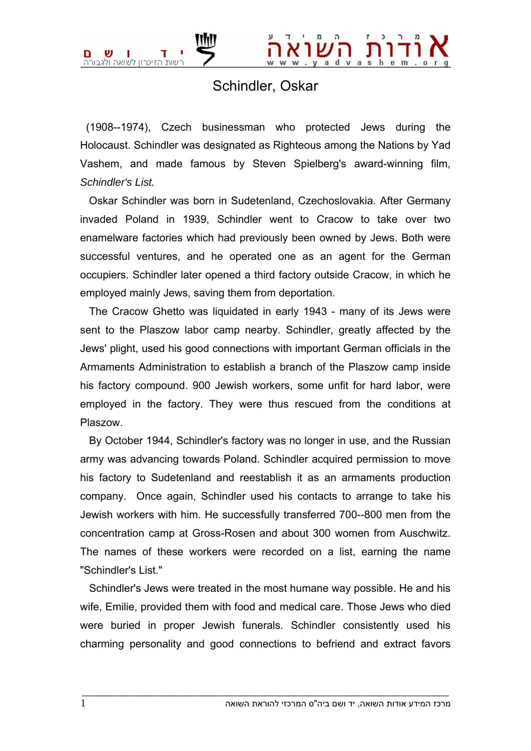## Schindler, Oskar

 (1908--1974), Czech businessman who protected Jews during the Holocaust. Schindler was designated as Righteous among the Nations by Yad Vashem, and made famous by Steven Spielberg's award-winning film, *Schindler's List.*

 Oskar Schindler was born in Sudetenland, Czechoslovakia. After Germany invaded Poland in 1939, Schindler went to Cracow to take over two enamelware factories which had previously been owned by Jews. Both were successful ventures, and he operated one as an agent for the German occupiers. Schindler later opened a third factory outside Cracow, in which he employed mainly Jews, saving them from deportation.

 The Cracow Ghetto was liquidated in early 1943 - many of its Jews were sent to the Plaszow labor camp nearby. Schindler, greatly affected by the Jews' plight, used his good connections with important German officials in the Armaments Administration to establish a branch of the Plaszow camp inside his factory compound. 900 Jewish workers, some unfit for hard labor, were employed in the factory. They were thus rescued from the conditions at Plaszow.

 By October 1944, Schindler's factory was no longer in use, and the Russian army was advancing towards Poland. Schindler acquired permission to move his factory to Sudetenland and reestablish it as an armaments production company. Once again, Schindler used his contacts to arrange to take his Jewish workers with him. He successfully transferred 700--800 men from the concentration camp at Gross-Rosen and about 300 women from Auschwitz. The names of these workers were recorded on a list, earning the name "Schindler's List."

 Schindler's Jews were treated in the most humane way possible. He and his wife, Emilie, provided them with food and medical care. Those Jews who died were buried in proper Jewish funerals. Schindler consistently used his charming personality and good connections to befriend and extract favors

 $\bot$  , and the set of the set of the set of the set of the set of the set of the set of the set of the set of the set of the set of the set of the set of the set of the set of the set of the set of the set of the set of t